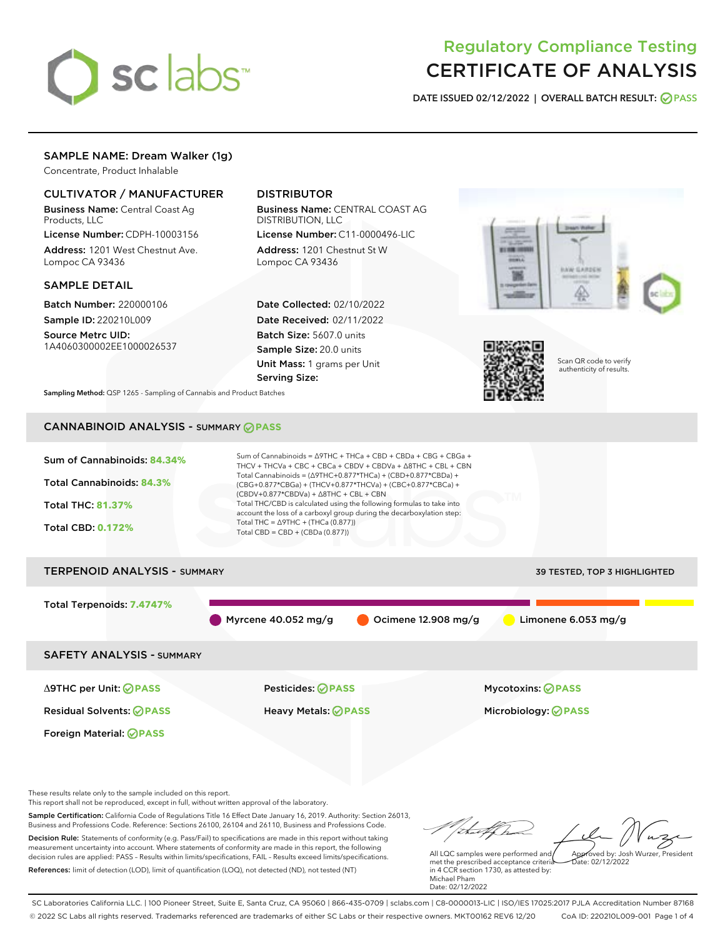# sclabs<sup>\*</sup>

# Regulatory Compliance Testing CERTIFICATE OF ANALYSIS

DATE ISSUED 02/12/2022 | OVERALL BATCH RESULT: @ PASS

# SAMPLE NAME: Dream Walker (1g)

Concentrate, Product Inhalable

# CULTIVATOR / MANUFACTURER

Business Name: Central Coast Ag Products, LLC

License Number: CDPH-10003156 Address: 1201 West Chestnut Ave. Lompoc CA 93436

# SAMPLE DETAIL

Batch Number: 220000106 Sample ID: 220210L009

Source Metrc UID: 1A4060300002EE1000026537

# DISTRIBUTOR

Business Name: CENTRAL COAST AG DISTRIBUTION, LLC

License Number: C11-0000496-LIC Address: 1201 Chestnut St W Lompoc CA 93436

Date Collected: 02/10/2022 Date Received: 02/11/2022 Batch Size: 5607.0 units Sample Size: 20.0 units Unit Mass: 1 grams per Unit Serving Size:





Scan QR code to verify authenticity of results.

Sampling Method: QSP 1265 - Sampling of Cannabis and Product Batches

# CANNABINOID ANALYSIS - SUMMARY **PASS**



Business and Professions Code. Reference: Sections 26100, 26104 and 26110, Business and Professions Code. Decision Rule: Statements of conformity (e.g. Pass/Fail) to specifications are made in this report without taking measurement uncertainty into account. Where statements of conformity are made in this report, the following decision rules are applied: PASS – Results within limits/specifications, FAIL – Results exceed limits/specifications. References: limit of detection (LOD), limit of quantification (LOQ), not detected (ND), not tested (NT)

All LQC samples were performed and met the prescribed acceptance criteria in 4 CCR section 1730, as attested by: Michael Pham Approved by: Josh Wurzer, President  $\frac{1}{2}$ ate: 02/12/2022

Date: 02/12/2022

SC Laboratories California LLC. | 100 Pioneer Street, Suite E, Santa Cruz, CA 95060 | 866-435-0709 | sclabs.com | C8-0000013-LIC | ISO/IES 17025:2017 PJLA Accreditation Number 87168 © 2022 SC Labs all rights reserved. Trademarks referenced are trademarks of either SC Labs or their respective owners. MKT00162 REV6 12/20 CoA ID: 220210L009-001 Page 1 of 4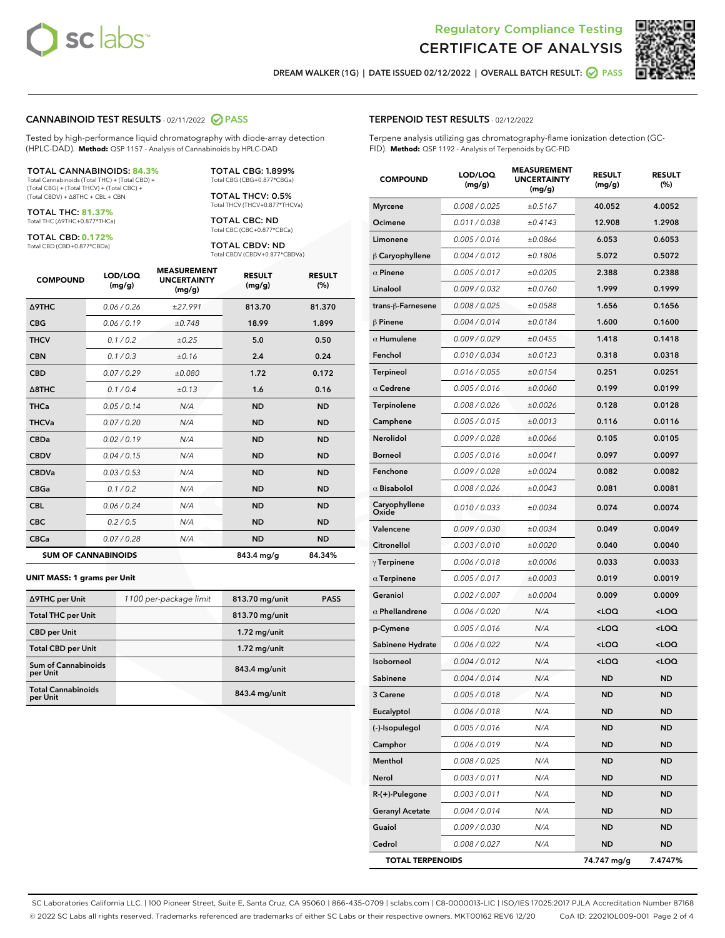

Terpene analysis utilizing gas chromatography-flame ionization detection (GC-



DREAM WALKER (1G) | DATE ISSUED 02/12/2022 | OVERALL BATCH RESULT: **○** PASS

TERPENOID TEST RESULTS - 02/12/2022

FID). **Method:** QSP 1192 - Analysis of Terpenoids by GC-FID

#### CANNABINOID TEST RESULTS - 02/11/2022 2 PASS

Tested by high-performance liquid chromatography with diode-array detection (HPLC-DAD). **Method:** QSP 1157 - Analysis of Cannabinoids by HPLC-DAD

#### TOTAL CANNABINOIDS: **84.3%**

Total Cannabinoids (Total THC) + (Total CBD) + (Total CBG) + (Total THCV) + (Total CBC) + (Total CBDV) + ∆8THC + CBL + CBN

TOTAL THC: **81.37%** Total THC (∆9THC+0.877\*THCa)

TOTAL CBD: **0.172%**

Total CBD (CBD+0.877\*CBDa)

TOTAL CBG: 1.899% Total CBG (CBG+0.877\*CBGa)

TOTAL THCV: 0.5% Total THCV (THCV+0.877\*THCVa)

TOTAL CBC: ND Total CBC (CBC+0.877\*CBCa)

TOTAL CBDV: ND Total CBDV (CBDV+0.877\*CBDVa)

| <b>COMPOUND</b>  | LOD/LOQ<br>(mg/g)          | <b>MEASUREMENT</b><br><b>UNCERTAINTY</b><br>(mg/g) | <b>RESULT</b><br>(mg/g) | <b>RESULT</b><br>(%) |
|------------------|----------------------------|----------------------------------------------------|-------------------------|----------------------|
| <b>A9THC</b>     | 0.06 / 0.26                | ±27.991                                            | 813.70                  | 81.370               |
| <b>CBG</b>       | 0.06/0.19                  | ±0.748                                             | 18.99                   | 1.899                |
| <b>THCV</b>      | 0.1 / 0.2                  | ±0.25                                              | 5.0                     | 0.50                 |
| <b>CBN</b>       | 0.1/0.3                    | ±0.16                                              | 2.4                     | 0.24                 |
| <b>CBD</b>       | 0.07/0.29                  | ±0.080                                             | 1.72                    | 0.172                |
| $\triangle$ 8THC | 0.1 / 0.4                  | ±0.13                                              | 1.6                     | 0.16                 |
| <b>THCa</b>      | 0.05/0.14                  | N/A                                                | <b>ND</b>               | <b>ND</b>            |
| <b>THCVa</b>     | 0.07/0.20                  | N/A                                                | <b>ND</b>               | <b>ND</b>            |
| <b>CBDa</b>      | 0.02/0.19                  | N/A                                                | <b>ND</b>               | <b>ND</b>            |
| <b>CBDV</b>      | 0.04/0.15                  | N/A                                                | <b>ND</b>               | <b>ND</b>            |
| <b>CBDVa</b>     | 0.03/0.53                  | N/A                                                | <b>ND</b>               | <b>ND</b>            |
| <b>CBGa</b>      | 0.1/0.2                    | N/A                                                | <b>ND</b>               | <b>ND</b>            |
| <b>CBL</b>       | 0.06 / 0.24                | N/A                                                | <b>ND</b>               | <b>ND</b>            |
| <b>CBC</b>       | 0.2 / 0.5                  | N/A                                                | <b>ND</b>               | <b>ND</b>            |
| <b>CBCa</b>      | 0.07/0.28                  | N/A                                                | <b>ND</b>               | <b>ND</b>            |
|                  | <b>SUM OF CANNABINOIDS</b> |                                                    | 843.4 mg/g              | 84.34%               |

#### **UNIT MASS: 1 grams per Unit**

| ∆9THC per Unit                         | 1100 per-package limit | 813.70 mg/unit | <b>PASS</b> |
|----------------------------------------|------------------------|----------------|-------------|
| <b>Total THC per Unit</b>              |                        | 813.70 mg/unit |             |
| <b>CBD per Unit</b>                    |                        | $1.72$ mg/unit |             |
| <b>Total CBD per Unit</b>              |                        | $1.72$ mg/unit |             |
| <b>Sum of Cannabinoids</b><br>per Unit |                        | 843.4 mg/unit  |             |
| <b>Total Cannabinoids</b><br>per Unit  |                        | 843.4 mg/unit  |             |

| <b>COMPOUND</b>         | LOD/LOQ<br>(mg/g) | <b>MEASUREMENT</b><br><b>UNCERTAINTY</b><br>(mg/g) | <b>RESULT</b><br>(mg/g)                         | <b>RESULT</b><br>(%) |
|-------------------------|-------------------|----------------------------------------------------|-------------------------------------------------|----------------------|
| <b>Myrcene</b>          | 0.008 / 0.025     | ±0.5167                                            | 40.052                                          | 4.0052               |
| Ocimene                 | 0.011 / 0.038     | ±0.4143                                            | 12.908                                          | 1.2908               |
| Limonene                | 0.005 / 0.016     | ±0.0866                                            | 6.053                                           | 0.6053               |
| $\beta$ Caryophyllene   | 0.004 / 0.012     | ±0.1806                                            | 5.072                                           | 0.5072               |
| $\alpha$ Pinene         | 0.005 / 0.017     | ±0.0205                                            | 2.388                                           | 0.2388               |
| Linalool                | 0.009/0.032       | ±0.0760                                            | 1.999                                           | 0.1999               |
| trans-β-Farnesene       | 0.008 / 0.025     | ±0.0588                                            | 1.656                                           | 0.1656               |
| $\beta$ Pinene          | 0.004 / 0.014     | ±0.0184                                            | 1.600                                           | 0.1600               |
| $\alpha$ Humulene       | 0.009/0.029       | ±0.0455                                            | 1.418                                           | 0.1418               |
| Fenchol                 | 0.010 / 0.034     | ±0.0123                                            | 0.318                                           | 0.0318               |
| Terpineol               | 0.016 / 0.055     | ±0.0154                                            | 0.251                                           | 0.0251               |
| $\alpha$ Cedrene        | 0.005 / 0.016     | ±0.0060                                            | 0.199                                           | 0.0199               |
| <b>Terpinolene</b>      | 0.008 / 0.026     | ±0.0026                                            | 0.128                                           | 0.0128               |
| Camphene                | 0.005 / 0.015     | ±0.0013                                            | 0.116                                           | 0.0116               |
| Nerolidol               | 0.009 / 0.028     | ±0.0066                                            | 0.105                                           | 0.0105               |
| <b>Borneol</b>          | 0.005 / 0.016     | ±0.0041                                            | 0.097                                           | 0.0097               |
| Fenchone                | 0.009 / 0.028     | ±0.0024                                            | 0.082                                           | 0.0082               |
| $\alpha$ Bisabolol      | 0.008 / 0.026     | ±0.0043                                            | 0.081                                           | 0.0081               |
| Caryophyllene<br>Oxide  | 0.010 / 0.033     | ±0.0034                                            | 0.074                                           | 0.0074               |
| Valencene               | 0.009 / 0.030     | ±0.0034                                            | 0.049                                           | 0.0049               |
| Citronellol             | 0.003 / 0.010     | ±0.0020                                            | 0.040                                           | 0.0040               |
| $\gamma$ Terpinene      | 0.006 / 0.018     | ±0.0006                                            | 0.033                                           | 0.0033               |
| $\alpha$ Terpinene      | 0.005 / 0.017     | ±0.0003                                            | 0.019                                           | 0.0019               |
| Geraniol                | 0.002 / 0.007     | ±0.0004                                            | 0.009                                           | 0.0009               |
| $\alpha$ Phellandrene   | 0.006 / 0.020     | N/A                                                | <loq< th=""><th><loq< th=""></loq<></th></loq<> | <loq< th=""></loq<>  |
| p-Cymene                | 0.005 / 0.016     | N/A                                                | <loq< th=""><th><loq< th=""></loq<></th></loq<> | <loq< th=""></loq<>  |
| Sabinene Hydrate        | 0.006 / 0.022     | N/A                                                | <loq< th=""><th><loq< th=""></loq<></th></loq<> | <loq< th=""></loq<>  |
| Isoborneol              | 0.004 / 0.012     | N/A                                                | <loq< th=""><th><loq< th=""></loq<></th></loq<> | <loq< th=""></loq<>  |
| Sabinene                | 0.004 / 0.014     | N/A                                                | ND                                              | <b>ND</b>            |
| 3 Carene                | 0.005 / 0.018     | N/A                                                | <b>ND</b>                                       | ND                   |
| Eucalyptol              | 0.006 / 0.018     | N/A                                                | ND                                              | ND                   |
| (-)-Isopulegol          | 0.005 / 0.016     | N/A                                                | <b>ND</b>                                       | ND                   |
| Camphor                 | 0.006 / 0.019     | N/A                                                | ND                                              | ND                   |
| Menthol                 | 0.008 / 0.025     | N/A                                                | ND                                              | ND                   |
| Nerol                   | 0.003 / 0.011     | N/A                                                | ND                                              | ND                   |
| $R-(+)$ -Pulegone       | 0.003 / 0.011     | N/A                                                | ND                                              | ND                   |
| <b>Geranyl Acetate</b>  | 0.004 / 0.014     | N/A                                                | ND                                              | ND                   |
| Guaiol                  | 0.009 / 0.030     | N/A                                                | ND                                              | ND                   |
| Cedrol                  | 0.008 / 0.027     | N/A                                                | ND                                              | ND                   |
| <b>TOTAL TERPENOIDS</b> |                   |                                                    | 74.747 mg/g                                     | 7.4747%              |

SC Laboratories California LLC. | 100 Pioneer Street, Suite E, Santa Cruz, CA 95060 | 866-435-0709 | sclabs.com | C8-0000013-LIC | ISO/IES 17025:2017 PJLA Accreditation Number 87168 © 2022 SC Labs all rights reserved. Trademarks referenced are trademarks of either SC Labs or their respective owners. MKT00162 REV6 12/20 CoA ID: 220210L009-001 Page 2 of 4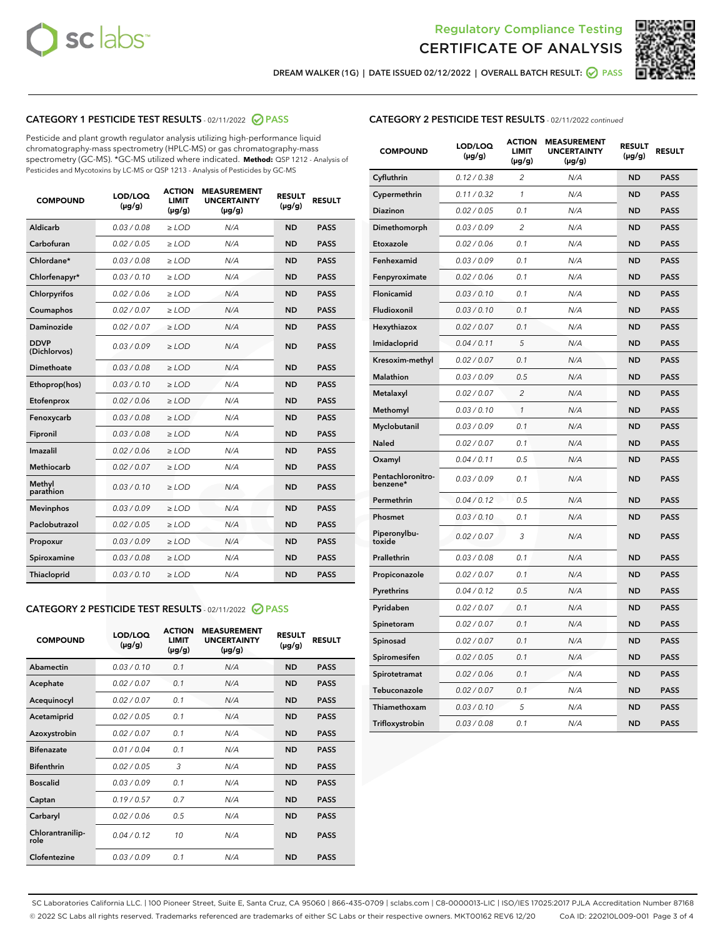



DREAM WALKER (1G) | DATE ISSUED 02/12/2022 | OVERALL BATCH RESULT: **○** PASS

# CATEGORY 1 PESTICIDE TEST RESULTS - 02/11/2022 2 PASS

Pesticide and plant growth regulator analysis utilizing high-performance liquid chromatography-mass spectrometry (HPLC-MS) or gas chromatography-mass spectrometry (GC-MS). \*GC-MS utilized where indicated. **Method:** QSP 1212 - Analysis of Pesticides and Mycotoxins by LC-MS or QSP 1213 - Analysis of Pesticides by GC-MS

| <b>COMPOUND</b>             | LOD/LOQ<br>$(\mu g/g)$ | <b>ACTION</b><br><b>LIMIT</b><br>$(\mu g/g)$ | <b>MEASUREMENT</b><br><b>UNCERTAINTY</b><br>$(\mu g/g)$ | <b>RESULT</b><br>$(\mu g/g)$ | <b>RESULT</b> |
|-----------------------------|------------------------|----------------------------------------------|---------------------------------------------------------|------------------------------|---------------|
| Aldicarb                    | 0.03 / 0.08            | $\ge$ LOD                                    | N/A                                                     | <b>ND</b>                    | <b>PASS</b>   |
| Carbofuran                  | 0.02/0.05              | $>$ LOD                                      | N/A                                                     | <b>ND</b>                    | <b>PASS</b>   |
| Chlordane*                  | 0.03/0.08              | $\ge$ LOD                                    | N/A                                                     | <b>ND</b>                    | <b>PASS</b>   |
| Chlorfenapyr*               | 0.03/0.10              | $\ge$ LOD                                    | N/A                                                     | <b>ND</b>                    | <b>PASS</b>   |
| Chlorpyrifos                | 0.02 / 0.06            | $\ge$ LOD                                    | N/A                                                     | <b>ND</b>                    | <b>PASS</b>   |
| Coumaphos                   | 0.02/0.07              | $>$ LOD                                      | N/A                                                     | <b>ND</b>                    | <b>PASS</b>   |
| <b>Daminozide</b>           | 0.02 / 0.07            | $\ge$ LOD                                    | N/A                                                     | <b>ND</b>                    | <b>PASS</b>   |
| <b>DDVP</b><br>(Dichlorvos) | 0.03/0.09              | $\ge$ LOD                                    | N/A                                                     | <b>ND</b>                    | <b>PASS</b>   |
| <b>Dimethoate</b>           | 0.03 / 0.08            | $\ge$ LOD                                    | N/A                                                     | <b>ND</b>                    | <b>PASS</b>   |
| Ethoprop(hos)               | 0.03/0.10              | $\ge$ LOD                                    | N/A                                                     | <b>ND</b>                    | <b>PASS</b>   |
| Etofenprox                  | 0.02 / 0.06            | $\ge$ LOD                                    | N/A                                                     | <b>ND</b>                    | <b>PASS</b>   |
| Fenoxycarb                  | 0.03 / 0.08            | $\ge$ LOD                                    | N/A                                                     | <b>ND</b>                    | <b>PASS</b>   |
| Fipronil                    | 0.03/0.08              | $>$ LOD                                      | N/A                                                     | <b>ND</b>                    | <b>PASS</b>   |
| Imazalil                    | 0.02 / 0.06            | $\ge$ LOD                                    | N/A                                                     | <b>ND</b>                    | <b>PASS</b>   |
| Methiocarb                  | 0.02 / 0.07            | $\ge$ LOD                                    | N/A                                                     | <b>ND</b>                    | <b>PASS</b>   |
| Methyl<br>parathion         | 0.03/0.10              | $>$ LOD                                      | N/A                                                     | <b>ND</b>                    | <b>PASS</b>   |
| <b>Mevinphos</b>            | 0.03/0.09              | $>$ LOD                                      | N/A                                                     | <b>ND</b>                    | <b>PASS</b>   |
| Paclobutrazol               | 0.02 / 0.05            | $\ge$ LOD                                    | N/A                                                     | <b>ND</b>                    | <b>PASS</b>   |
| Propoxur                    | 0.03/0.09              | $>$ LOD                                      | N/A                                                     | <b>ND</b>                    | <b>PASS</b>   |
| Spiroxamine                 | 0.03 / 0.08            | $\ge$ LOD                                    | N/A                                                     | <b>ND</b>                    | <b>PASS</b>   |
| Thiacloprid                 | 0.03/0.10              | $\ge$ LOD                                    | N/A                                                     | <b>ND</b>                    | <b>PASS</b>   |

#### CATEGORY 2 PESTICIDE TEST RESULTS - 02/11/2022 2 PASS

| <b>COMPOUND</b>          | LOD/LOO<br>$(\mu g/g)$ | <b>ACTION</b><br>LIMIT<br>$(\mu g/g)$ | <b>MEASUREMENT</b><br><b>UNCERTAINTY</b><br>$(\mu g/g)$ | <b>RESULT</b><br>$(\mu g/g)$ | <b>RESULT</b> |
|--------------------------|------------------------|---------------------------------------|---------------------------------------------------------|------------------------------|---------------|
| Abamectin                | 0.03/0.10              | 0.1                                   | N/A                                                     | <b>ND</b>                    | <b>PASS</b>   |
| Acephate                 | 0.02/0.07              | 0.1                                   | N/A                                                     | <b>ND</b>                    | <b>PASS</b>   |
| Acequinocyl              | 0.02/0.07              | 0.1                                   | N/A                                                     | <b>ND</b>                    | <b>PASS</b>   |
| Acetamiprid              | 0.02 / 0.05            | 0.1                                   | N/A                                                     | <b>ND</b>                    | <b>PASS</b>   |
| Azoxystrobin             | 0.02/0.07              | 0.1                                   | N/A                                                     | <b>ND</b>                    | <b>PASS</b>   |
| <b>Bifenazate</b>        | 0.01 / 0.04            | 0.1                                   | N/A                                                     | <b>ND</b>                    | <b>PASS</b>   |
| <b>Bifenthrin</b>        | 0.02 / 0.05            | 3                                     | N/A                                                     | <b>ND</b>                    | <b>PASS</b>   |
| <b>Boscalid</b>          | 0.03/0.09              | 0.1                                   | N/A                                                     | <b>ND</b>                    | <b>PASS</b>   |
| Captan                   | 0.19/0.57              | 0.7                                   | N/A                                                     | <b>ND</b>                    | <b>PASS</b>   |
| Carbaryl                 | 0.02/0.06              | 0.5                                   | N/A                                                     | <b>ND</b>                    | <b>PASS</b>   |
| Chlorantranilip-<br>role | 0.04/0.12              | 10                                    | N/A                                                     | <b>ND</b>                    | <b>PASS</b>   |
| Clofentezine             | 0.03/0.09              | 0.1                                   | N/A                                                     | <b>ND</b>                    | <b>PASS</b>   |

| <b>CATEGORY 2 PESTICIDE TEST RESULTS</b> - 02/11/2022 continued |
|-----------------------------------------------------------------|
|-----------------------------------------------------------------|

| <b>COMPOUND</b>               | LOD/LOQ<br>(µg/g) | <b>ACTION</b><br>LIMIT<br>(µg/g) | <b>MEASUREMENT</b><br><b>UNCERTAINTY</b><br>(µg/g) | <b>RESULT</b><br>$(\mu g/g)$ | <b>RESULT</b> |
|-------------------------------|-------------------|----------------------------------|----------------------------------------------------|------------------------------|---------------|
| Cyfluthrin                    | 0.12 / 0.38       | $\overline{c}$                   | N/A                                                | ND                           | <b>PASS</b>   |
| Cypermethrin                  | 0.11 / 0.32       | 1                                | N/A                                                | <b>ND</b>                    | <b>PASS</b>   |
| <b>Diazinon</b>               | 0.02 / 0.05       | 0.1                              | N/A                                                | <b>ND</b>                    | <b>PASS</b>   |
| Dimethomorph                  | 0.03 / 0.09       | 2                                | N/A                                                | <b>ND</b>                    | <b>PASS</b>   |
| Etoxazole                     | 0.02 / 0.06       | 0.1                              | N/A                                                | <b>ND</b>                    | <b>PASS</b>   |
| Fenhexamid                    | 0.03 / 0.09       | 0.1                              | N/A                                                | <b>ND</b>                    | <b>PASS</b>   |
| Fenpyroximate                 | 0.02 / 0.06       | 0.1                              | N/A                                                | <b>ND</b>                    | <b>PASS</b>   |
| Flonicamid                    | 0.03 / 0.10       | 0.1                              | N/A                                                | <b>ND</b>                    | <b>PASS</b>   |
| Fludioxonil                   | 0.03/0.10         | 0.1                              | N/A                                                | <b>ND</b>                    | <b>PASS</b>   |
| Hexythiazox                   | 0.02 / 0.07       | 0.1                              | N/A                                                | <b>ND</b>                    | <b>PASS</b>   |
| Imidacloprid                  | 0.04 / 0.11       | 5                                | N/A                                                | <b>ND</b>                    | <b>PASS</b>   |
| Kresoxim-methyl               | 0.02 / 0.07       | 0.1                              | N/A                                                | <b>ND</b>                    | <b>PASS</b>   |
| <b>Malathion</b>              | 0.03 / 0.09       | 0.5                              | N/A                                                | <b>ND</b>                    | <b>PASS</b>   |
| Metalaxyl                     | 0.02 / 0.07       | $\overline{c}$                   | N/A                                                | <b>ND</b>                    | <b>PASS</b>   |
| Methomyl                      | 0.03 / 0.10       | $\mathbf{1}$                     | N/A                                                | <b>ND</b>                    | <b>PASS</b>   |
| Myclobutanil                  | 0.03 / 0.09       | 0.1                              | N/A                                                | <b>ND</b>                    | <b>PASS</b>   |
| <b>Naled</b>                  | 0.02 / 0.07       | 0.1                              | N/A                                                | <b>ND</b>                    | <b>PASS</b>   |
| Oxamyl                        | 0.04 / 0.11       | 0.5                              | N/A                                                | <b>ND</b>                    | <b>PASS</b>   |
| Pentachloronitro-<br>benzene* | 0.03/0.09         | 0.1                              | N/A                                                | <b>ND</b>                    | <b>PASS</b>   |
| Permethrin                    | 0.04 / 0.12       | 0.5                              | N/A                                                | <b>ND</b>                    | <b>PASS</b>   |
| Phosmet                       | 0.03 / 0.10       | 0.1                              | N/A                                                | <b>ND</b>                    | <b>PASS</b>   |
| Piperonylbu-<br>toxide        | 0.02 / 0.07       | 3                                | N/A                                                | <b>ND</b>                    | <b>PASS</b>   |
| Prallethrin                   | 0.03 / 0.08       | 0.1                              | N/A                                                | <b>ND</b>                    | <b>PASS</b>   |
| Propiconazole                 | 0.02 / 0.07       | 0.1                              | N/A                                                | <b>ND</b>                    | <b>PASS</b>   |
| Pyrethrins                    | 0.04 / 0.12       | 0.5                              | N/A                                                | <b>ND</b>                    | <b>PASS</b>   |
| Pyridaben                     | 0.02 / 0.07       | 0.1                              | N/A                                                | <b>ND</b>                    | <b>PASS</b>   |
| Spinetoram                    | 0.02 / 0.07       | 0.1                              | N/A                                                | ND                           | <b>PASS</b>   |
| Spinosad                      | 0.02 / 0.07       | 0.1                              | N/A                                                | <b>ND</b>                    | <b>PASS</b>   |
| Spiromesifen                  | 0.02 / 0.05       | 0.1                              | N/A                                                | <b>ND</b>                    | <b>PASS</b>   |
| Spirotetramat                 | 0.02 / 0.06       | 0.1                              | N/A                                                | <b>ND</b>                    | <b>PASS</b>   |
| Tebuconazole                  | 0.02 / 0.07       | 0.1                              | N/A                                                | ND                           | <b>PASS</b>   |
| Thiamethoxam                  | 0.03 / 0.10       | 5                                | N/A                                                | <b>ND</b>                    | <b>PASS</b>   |
| Trifloxystrobin               | 0.03 / 0.08       | 0.1                              | N/A                                                | <b>ND</b>                    | <b>PASS</b>   |

SC Laboratories California LLC. | 100 Pioneer Street, Suite E, Santa Cruz, CA 95060 | 866-435-0709 | sclabs.com | C8-0000013-LIC | ISO/IES 17025:2017 PJLA Accreditation Number 87168 © 2022 SC Labs all rights reserved. Trademarks referenced are trademarks of either SC Labs or their respective owners. MKT00162 REV6 12/20 CoA ID: 220210L009-001 Page 3 of 4